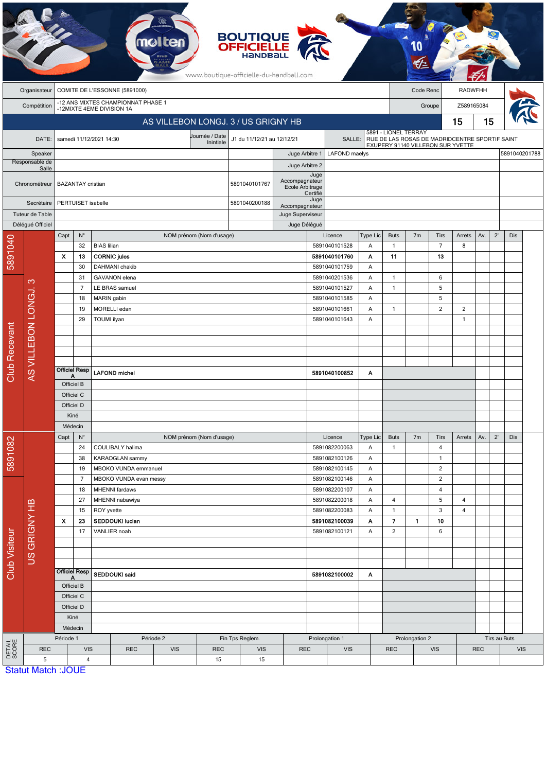| <b>BOUTIQUE</b><br><b>OFFICIELLE</b><br>mo<br><b>HANDBA</b><br>www.boutique-officielle-du-handball.com |                                               |                                                                 |                                          |                              |                                 |                          |                             |                                               |                                  |                                                 |                         |                        |                                                                                                             |                |                      |                |            |               |              |  |  |
|--------------------------------------------------------------------------------------------------------|-----------------------------------------------|-----------------------------------------------------------------|------------------------------------------|------------------------------|---------------------------------|--------------------------|-----------------------------|-----------------------------------------------|----------------------------------|-------------------------------------------------|-------------------------|------------------------|-------------------------------------------------------------------------------------------------------------|----------------|----------------------|----------------|------------|---------------|--------------|--|--|
|                                                                                                        | COMITE DE L'ESSONNE (5891000)<br>Organisateur |                                                                 |                                          |                              |                                 |                          |                             |                                               |                                  |                                                 |                         |                        | Code Renc<br><b>RADWFHH</b>                                                                                 |                |                      |                |            |               |              |  |  |
|                                                                                                        | Compétition                                   | -12 ANS MIXTES CHAMPIONNAT PHASE 1<br>-12MIXTE 4EME DIVISION 1A |                                          |                              |                                 |                          |                             |                                               |                                  |                                                 |                         |                        |                                                                                                             |                | Z589165084<br>Groupe |                |            |               |              |  |  |
|                                                                                                        |                                               |                                                                 |                                          |                              |                                 |                          |                             | AS VILLEBON LONGJ. 3 / US GRIGNY HB           |                                  |                                                 |                         |                        |                                                                                                             |                | 15                   | 15             |            |               |              |  |  |
|                                                                                                        | DATE:                                         |                                                                 |                                          | samedi 11/12/2021 14:30      |                                 |                          | Journée / Date<br>Inintiale | J1 du 11/12/21 au 12/12/21                    |                                  | SALLE:                                          |                         |                        | 5891 - LIONEL TERRAY<br>RUE DE LAS ROSAS DE MADRIDCENTRE SPORTIF SAINT<br>EXUPERY 91140 VILLEBON SUR YVETTE |                |                      |                |            |               |              |  |  |
| Speaker                                                                                                |                                               |                                                                 |                                          |                              |                                 |                          |                             | Juge Arbitre 1                                |                                  |                                                 | <b>LAFOND</b> maelys    |                        |                                                                                                             |                |                      |                |            | 5891040201788 |              |  |  |
|                                                                                                        | Responsable de<br>Salle                       |                                                                 |                                          |                              |                                 |                          |                             | Juge Arbitre 2                                | Juge                             |                                                 |                         |                        |                                                                                                             |                |                      |                |            |               |              |  |  |
|                                                                                                        | Chronométreur                                 | <b>BAZANTAY</b> cristian                                        |                                          |                              |                                 |                          | 5891040101767               | Accompagnateur<br>Ecole Arbitrage<br>Certifié |                                  |                                                 |                         |                        |                                                                                                             |                |                      |                |            |               |              |  |  |
| Secrétaire                                                                                             |                                               | PERTUISET isabelle                                              |                                          |                              |                                 |                          | 5891040200188               | Juge<br>Accompagnateur                        |                                  |                                                 |                         |                        |                                                                                                             |                |                      |                |            |               |              |  |  |
| Tuteur de Table<br>Délégué Officiel                                                                    |                                               |                                                                 |                                          |                              |                                 |                          |                             |                                               | Juge Superviseur<br>Juge Délégué |                                                 |                         |                        |                                                                                                             |                |                      |                |            |               |              |  |  |
|                                                                                                        |                                               | Capt                                                            | $N^{\circ}$                              |                              |                                 | NOM prénom (Nom d'usage) |                             |                                               |                                  |                                                 | Licence                 | Type Lic               | <b>Buts</b>                                                                                                 | 7 <sub>m</sub> | Tirs                 | Arrets         | Av.        | $2^{\prime}$  | Dis          |  |  |
| 5891040                                                                                                |                                               |                                                                 | 32                                       | <b>BIAS</b> lilian           |                                 |                          |                             |                                               |                                  |                                                 | 5891040101528           | A                      | $\mathbf{1}$                                                                                                |                | $\overline{7}$       | 8              |            |               |              |  |  |
|                                                                                                        |                                               | $\boldsymbol{\mathsf{x}}$                                       | 13                                       | <b>CORNIC jules</b>          |                                 |                          |                             |                                               |                                  | 5891040101760<br>5891040101759<br>5891040201536 |                         | Α<br>Α                 | 11<br>1                                                                                                     |                | 13                   |                |            |               |              |  |  |
|                                                                                                        |                                               |                                                                 | 30<br>31                                 |                              | DAHMANI chakib<br>GAVANON elena |                          |                             |                                               |                                  |                                                 |                         |                        |                                                                                                             |                |                      |                |            |               |              |  |  |
|                                                                                                        | က                                             |                                                                 | 7                                        |                              | LE BRAS samuel                  |                          |                             |                                               |                                  |                                                 | A<br>5891040101527<br>Α |                        | 1                                                                                                           |                | 6<br>5               |                |            |               |              |  |  |
|                                                                                                        |                                               |                                                                 | 18                                       | MARIN gabin                  |                                 |                          |                             |                                               |                                  |                                                 | 5891040101585           | A                      |                                                                                                             |                | 5                    |                |            |               |              |  |  |
|                                                                                                        | AS VILLEBON LONGJ.                            |                                                                 | 19                                       |                              | MORELLI edan                    |                          |                             |                                               |                                  | 5891040101661                                   |                         | A                      | $\mathbf{1}$                                                                                                |                | $\overline{c}$       | $\overline{2}$ |            |               |              |  |  |
|                                                                                                        |                                               |                                                                 | 29                                       | TOUMI ilyan                  |                                 |                          |                             |                                               |                                  |                                                 | 5891040101643           | Α                      |                                                                                                             |                |                      | $\overline{1}$ |            |               |              |  |  |
|                                                                                                        |                                               |                                                                 |                                          |                              |                                 |                          |                             |                                               |                                  |                                                 |                         |                        |                                                                                                             |                |                      |                |            |               |              |  |  |
|                                                                                                        |                                               |                                                                 |                                          |                              |                                 |                          |                             |                                               |                                  |                                                 |                         |                        |                                                                                                             |                |                      |                |            |               |              |  |  |
|                                                                                                        |                                               |                                                                 |                                          |                              |                                 |                          |                             |                                               |                                  |                                                 |                         |                        |                                                                                                             |                |                      |                |            |               |              |  |  |
|                                                                                                        |                                               |                                                                 |                                          |                              |                                 |                          |                             |                                               |                                  |                                                 |                         |                        |                                                                                                             |                |                      |                |            |               |              |  |  |
| Club Recevant                                                                                          |                                               | <b>Officiel Resp</b>                                            |                                          | <b>LAFOND</b> michel         |                                 |                          |                             |                                               |                                  | 5891040100852                                   |                         | A                      |                                                                                                             |                |                      |                |            |               |              |  |  |
|                                                                                                        |                                               | Officiel B                                                      |                                          |                              |                                 |                          |                             |                                               |                                  |                                                 |                         |                        |                                                                                                             |                |                      |                |            |               |              |  |  |
|                                                                                                        |                                               | Officiel C                                                      |                                          |                              |                                 |                          |                             |                                               |                                  |                                                 |                         |                        |                                                                                                             |                |                      |                |            |               |              |  |  |
|                                                                                                        |                                               | Officiel D                                                      |                                          |                              |                                 |                          |                             |                                               |                                  |                                                 |                         |                        |                                                                                                             |                |                      |                |            |               |              |  |  |
|                                                                                                        |                                               | Kiné                                                            |                                          |                              |                                 |                          |                             |                                               |                                  |                                                 |                         |                        |                                                                                                             |                |                      |                |            |               |              |  |  |
|                                                                                                        |                                               | Médecin                                                         |                                          |                              | NOM prénom (Nom d'usage)        |                          |                             |                                               | Licence                          |                                                 |                         |                        |                                                                                                             |                |                      |                |            |               |              |  |  |
|                                                                                                        |                                               | Capt                                                            | $N^{\circ}$<br>COULIBALY halima<br>24    |                              |                                 |                          |                             |                                               | Type Lic<br>Α                    | <b>Buts</b><br>$\mathbf{1}$                     | 7 <sub>m</sub>          | Tirs<br>$\overline{4}$ | Arrets                                                                                                      | Av.            | $2^{\prime}$         | <b>Dis</b>     |            |               |              |  |  |
| 5891082                                                                                                |                                               |                                                                 | 38                                       | KARAOGLAN sammy              |                                 |                          |                             | 5891082200063<br>5891082100126                |                                  |                                                 |                         | $\overline{1}$         |                                                                                                             |                |                      |                |            |               |              |  |  |
|                                                                                                        |                                               |                                                                 | 19                                       |                              | MBOKO VUNDA emmanuel            |                          |                             |                                               |                                  |                                                 | 5891082100145           | A<br>A                 |                                                                                                             |                | 2                    |                |            |               |              |  |  |
| <b>Club Visiteur</b>                                                                                   |                                               |                                                                 | $\overline{7}$<br>MBOKO VUNDA evan messy |                              |                                 | 5891082100146            | Α                           |                                               |                                  | $\overline{2}$                                  |                         |                        |                                                                                                             |                |                      |                |            |               |              |  |  |
|                                                                                                        |                                               |                                                                 | 18                                       |                              | MHENNI fardaws                  |                          |                             |                                               |                                  |                                                 | 5891082200107           | A                      |                                                                                                             |                | 4                    |                |            |               |              |  |  |
|                                                                                                        | US GRIGNY HB                                  |                                                                 | 27                                       |                              | MHENNI nabawiya                 |                          |                             | 5891082200018                                 |                                  | A                                               | 4                       |                        | 5                                                                                                           | 4              |                      |                |            |               |              |  |  |
|                                                                                                        |                                               |                                                                 | 15<br>ROY yvette                         |                              |                                 |                          |                             | 5891082200083                                 |                                  | A                                               | $\mathbf{1}$            |                        | 3                                                                                                           | 4              |                      |                |            |               |              |  |  |
|                                                                                                        |                                               | $\boldsymbol{\mathsf{x}}$                                       | SEDDOUKI lucian<br>23                    |                              |                                 |                          | 5891082100039               |                                               |                                  | Α                                               | $\overline{\mathbf{z}}$ | $\mathbf{1}$           | 10                                                                                                          |                |                      |                |            |               |              |  |  |
|                                                                                                        |                                               |                                                                 | 17                                       |                              | VANLIER noah                    |                          |                             |                                               |                                  | 5891082100121                                   |                         | Α                      | $\overline{2}$                                                                                              |                | 6                    |                |            |               |              |  |  |
|                                                                                                        |                                               |                                                                 |                                          |                              |                                 |                          |                             |                                               |                                  |                                                 |                         |                        |                                                                                                             |                |                      |                |            |               |              |  |  |
|                                                                                                        |                                               |                                                                 |                                          |                              |                                 |                          |                             |                                               |                                  |                                                 |                         |                        |                                                                                                             |                |                      |                |            |               |              |  |  |
|                                                                                                        |                                               | <b>Officiel Resp</b><br>Α<br>Officiel B                         |                                          | SEDDOUKI said                |                                 |                          |                             |                                               | 5891082100002<br>A               |                                                 |                         |                        |                                                                                                             |                |                      |                |            |               |              |  |  |
|                                                                                                        |                                               |                                                                 |                                          |                              |                                 |                          |                             |                                               |                                  |                                                 |                         |                        |                                                                                                             |                |                      |                |            |               |              |  |  |
|                                                                                                        |                                               |                                                                 | Officiel C                               |                              |                                 |                          |                             |                                               |                                  |                                                 |                         |                        |                                                                                                             |                |                      |                |            |               |              |  |  |
|                                                                                                        |                                               |                                                                 | Officiel D                               |                              |                                 |                          |                             |                                               |                                  |                                                 |                         |                        |                                                                                                             |                |                      |                |            |               |              |  |  |
|                                                                                                        |                                               |                                                                 | Kiné                                     |                              |                                 |                          |                             |                                               |                                  |                                                 |                         |                        |                                                                                                             |                |                      |                |            |               |              |  |  |
|                                                                                                        |                                               | Médecin<br>Période 1                                            |                                          | Période 2<br>Fin Tps Reglem. |                                 |                          |                             |                                               |                                  | Prolongation 1                                  |                         |                        |                                                                                                             | Prolongation 2 |                      |                |            |               | Tirs au Buts |  |  |
| DETAIL<br>SCORE                                                                                        | <b>REC</b>                                    |                                                                 | <b>VIS</b>                               |                              | <b>REC</b>                      | <b>VIS</b>               | <b>REC</b>                  | <b>REC</b><br><b>VIS</b>                      |                                  |                                                 | <b>VIS</b>              |                        |                                                                                                             |                | <b>VIS</b>           |                | <b>REC</b> |               | <b>VIS</b>   |  |  |
|                                                                                                        | 5                                             | $\overline{4}$                                                  |                                          | 15                           |                                 | 15                       |                             |                                               |                                  |                                                 | <b>REC</b>              |                        |                                                                                                             |                |                      |                |            |               |              |  |  |
|                                                                                                        | <b>Statut Match: JOUE</b>                     |                                                                 |                                          |                              |                                 |                          |                             |                                               |                                  |                                                 |                         |                        |                                                                                                             |                |                      |                |            |               |              |  |  |